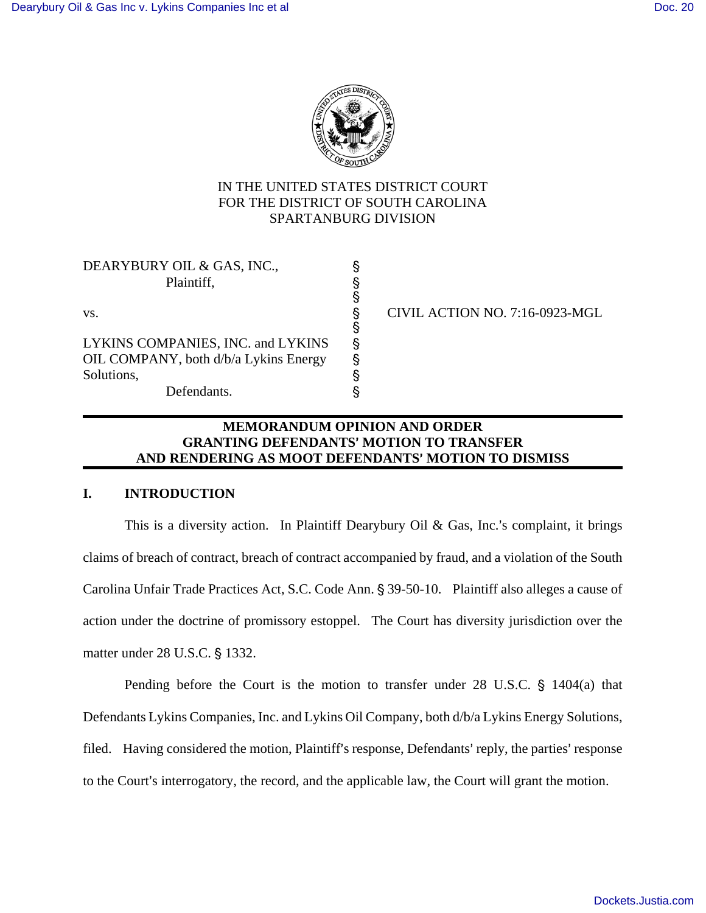

# IN THE UNITED STATES DISTRICT COURT FOR THE DISTRICT OF SOUTH CAROLINA SPARTANBURG DIVISION

| DEARYBURY OIL & GAS, INC.,<br>Plaintiff, |   |                                |
|------------------------------------------|---|--------------------------------|
| VS.                                      |   | CIVIL ACTION NO. 7:16-0923-MGL |
| LYKINS COMPANIES, INC. and LYKINS        | Ş |                                |
| OIL COMPANY, both d/b/a Lykins Energy    |   |                                |
| Solutions,                               |   |                                |
| Defendants.                              |   |                                |

# **MEMORANDUM OPINION AND ORDER GRANTING DEFENDANTS**= **MOTION TO TRANSFER AND RENDERING AS MOOT DEFENDANTS**= **MOTION TO DISMISS**

## **I. INTRODUCTION**

This is a diversity action. In Plaintiff Dearybury Oil & Gas, Inc.'s complaint, it brings claims of breach of contract, breach of contract accompanied by fraud, and a violation of the South Carolina Unfair Trade Practices Act, S.C. Code Ann. § 39-50-10. Plaintiff also alleges a cause of action under the doctrine of promissory estoppel. The Court has diversity jurisdiction over the matter under 28 U.S.C. § 1332.

Pending before the Court is the motion to transfer under  $28$  U.S.C.  $\S$  1404(a) that Defendants Lykins Companies, Inc. and Lykins Oil Company, both d/b/a Lykins Energy Solutions, filed. Having considered the motion, Plaintiff's response, Defendants' reply, the parties' response to the Court's interrogatory, the record, and the applicable law, the Court will grant the motion.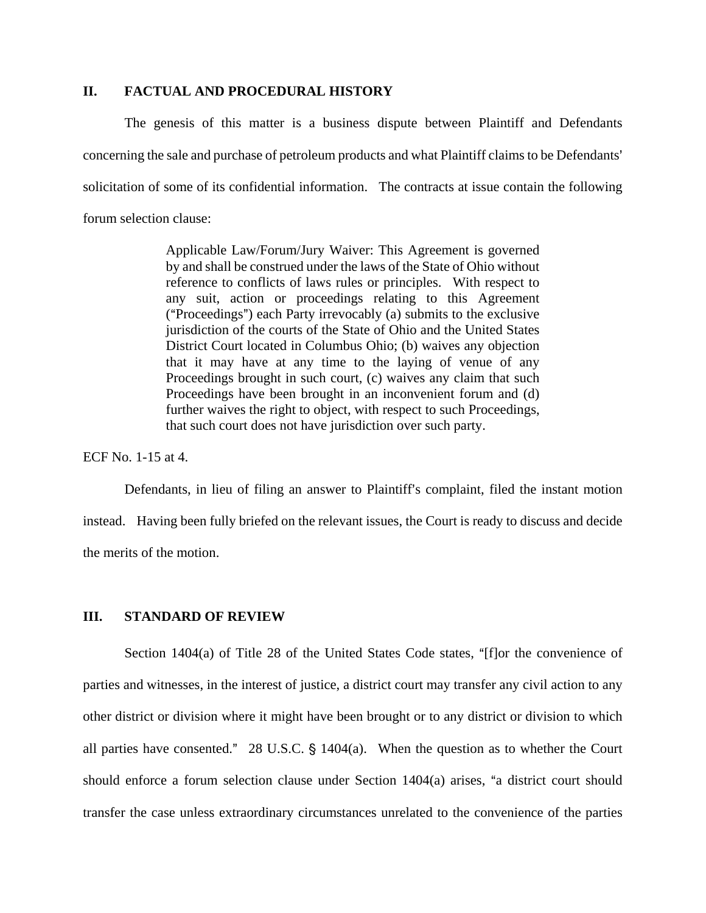## **II. FACTUAL AND PROCEDURAL HISTORY**

The genesis of this matter is a business dispute between Plaintiff and Defendants concerning the sale and purchase of petroleum products and what Plaintiff claims to be Defendants' solicitation of some of its confidential information. The contracts at issue contain the following forum selection clause:

> Applicable Law/Forum/Jury Waiver: This Agreement is governed by and shall be construed under the laws of the State of Ohio without reference to conflicts of laws rules or principles. With respect to any suit, action or proceedings relating to this Agreement ( $"Proceedings")$  each Party irrevocably (a) submits to the exclusive jurisdiction of the courts of the State of Ohio and the United States District Court located in Columbus Ohio; (b) waives any objection that it may have at any time to the laying of venue of any Proceedings brought in such court, (c) waives any claim that such Proceedings have been brought in an inconvenient forum and (d) further waives the right to object, with respect to such Proceedings, that such court does not have jurisdiction over such party.

ECF No. 1-15 at 4.

Defendants, in lieu of filing an answer to Plaintiff's complaint, filed the instant motion instead. Having been fully briefed on the relevant issues, the Court is ready to discuss and decide the merits of the motion.

### **III. STANDARD OF REVIEW**

Section  $1404(a)$  of Title 28 of the United States Code states, "[f]or the convenience of parties and witnesses, in the interest of justice, a district court may transfer any civil action to any other district or division where it might have been brought or to any district or division to which all parties have consented." 28 U.S.C.  $\S$  1404(a). When the question as to whether the Court should enforce a forum selection clause under Section  $1404(a)$  arises, "a district court should transfer the case unless extraordinary circumstances unrelated to the convenience of the parties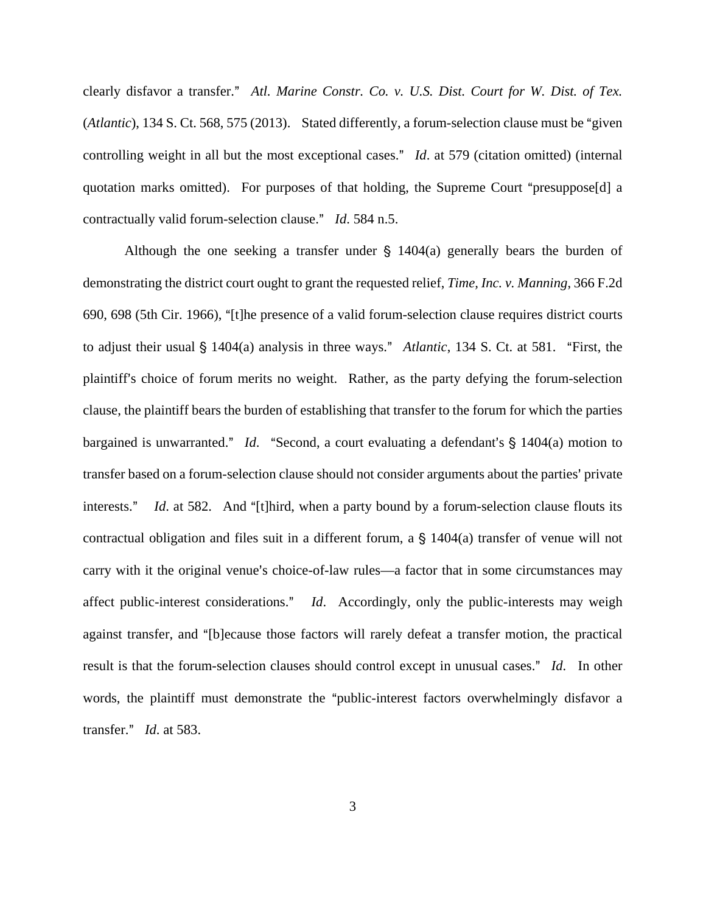clearly disfavor a transfer." Atl. Marine Constr. Co. v. U.S. Dist. Court for W. Dist. of Tex. (*Atlantic*), 134 S. Ct. 568, 575 (2013). Stated differently, a forum-selection clause must be "given" controlling weight in all but the most exceptional cases." *Id*. at 579 (citation omitted) (internal quotation marks omitted). For purposes of that holding, the Supreme Court "presuppose[d] a contractually valid forum-selection clause." *Id.* 584 n.5.

Although the one seeking a transfer under  $\S$  1404(a) generally bears the burden of demonstrating the district court ought to grant the requested relief, *Time, Inc. v. Manning*, 366 F.2d 690, 698 (5th Cir. 1966), "[t]he presence of a valid forum-selection clause requires district courts to adjust their usual § 1404(a) analysis in three ways." Atlantic, 134 S. Ct. at 581. "First, the plaintiff's choice of forum merits no weight. Rather, as the party defying the forum-selection clause, the plaintiff bears the burden of establishing that transfer to the forum for which the parties bargained is unwarranted." *Id.* "Second, a court evaluating a defendant's § 1404(a) motion to transfer based on a forum-selection clause should not consider arguments about the parties' private interests." *Id.* at 582. And "[t]hird, when a party bound by a forum-selection clause flouts its contractual obligation and files suit in a different forum, a  $\S$  1404(a) transfer of venue will not carry with it the original venue's choice-of-law rules—a factor that in some circumstances may affect public-interest considerations." *Id*. Accordingly, only the public-interests may weigh against transfer, and "[b]ecause those factors will rarely defeat a transfer motion, the practical result is that the forum-selection clauses should control except in unusual cases." Id. In other words, the plaintiff must demonstrate the "public-interest factors overwhelmingly disfavor a transfer.@ *Id*. at 583.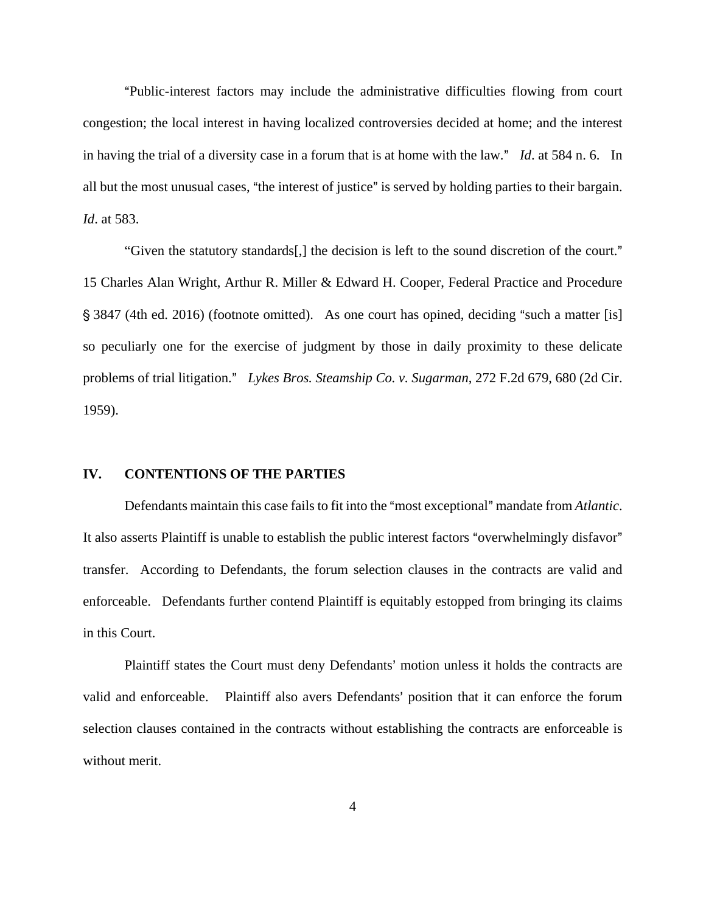APublic-interest factors may include the administrative difficulties flowing from court congestion; the local interest in having localized controversies decided at home; and the interest in having the trial of a diversity case in a forum that is at home with the law."  $Id$  at 584 n. 6. In all but the most unusual cases, "the interest of justice" is served by holding parties to their bargain. *Id*. at 583.

"Given the statutory standards[,] the decision is left to the sound discretion of the court." 15 Charles Alan Wright, Arthur R. Miller & Edward H. Cooper, Federal Practice and Procedure  $\S$  3847 (4th ed. 2016) (footnote omitted). As one court has opined, deciding "such a matter [is] so peculiarly one for the exercise of judgment by those in daily proximity to these delicate problems of trial litigation." Lykes Bros. Steamship Co. v. Sugarman, 272 F.2d 679, 680 (2d Cir. 1959).

### **IV. CONTENTIONS OF THE PARTIES**

Defendants maintain this case fails to fit into the "most exceptional" mandate from *Atlantic*. It also asserts Plaintiff is unable to establish the public interest factors "overwhelmingly disfavor" transfer. According to Defendants, the forum selection clauses in the contracts are valid and enforceable. Defendants further contend Plaintiff is equitably estopped from bringing its claims in this Court.

Plaintiff states the Court must deny Defendants' motion unless it holds the contracts are valid and enforceable. Plaintiff also avers Defendants' position that it can enforce the forum selection clauses contained in the contracts without establishing the contracts are enforceable is without merit.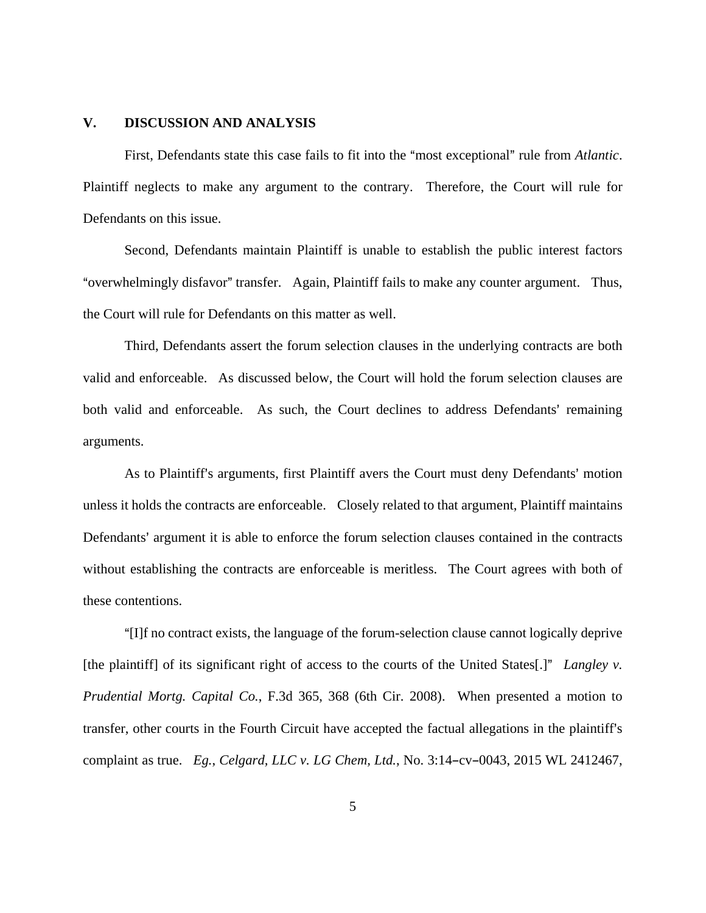### **V. DISCUSSION AND ANALYSIS**

First, Defendants state this case fails to fit into the "most exceptional" rule from *Atlantic*. Plaintiff neglects to make any argument to the contrary. Therefore, the Court will rule for Defendants on this issue.

Second, Defendants maintain Plaintiff is unable to establish the public interest factors "overwhelmingly disfavor" transfer. Again, Plaintiff fails to make any counter argument. Thus, the Court will rule for Defendants on this matter as well.

Third, Defendants assert the forum selection clauses in the underlying contracts are both valid and enforceable. As discussed below, the Court will hold the forum selection clauses are both valid and enforceable. As such, the Court declines to address Defendants' remaining arguments.

As to Plaintiff's arguments, first Plaintiff avers the Court must deny Defendants' motion unless it holds the contracts are enforceable. Closely related to that argument, Plaintiff maintains Defendants' argument it is able to enforce the forum selection clauses contained in the contracts without establishing the contracts are enforceable is meritless. The Court agrees with both of these contentions.

A[I]f no contract exists, the language of the forum-selection clause cannot logically deprive [the plaintiff] of its significant right of access to the courts of the United States[.]" *Langley v. Prudential Mortg. Capital Co.*, F.3d 365, 368 (6th Cir. 2008). When presented a motion to transfer, other courts in the Fourth Circuit have accepted the factual allegations in the plaintiff's complaint as true. *Eg.*, *Celgard, LLC v. LG Chem, Ltd.*, No. 3:14-cv-0043, 2015 WL 2412467,